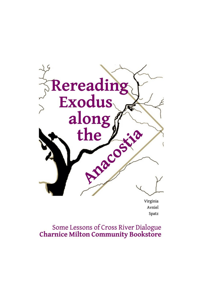

Avniel Spatz

Some Lessons of Cross River Dialogue<br>Charnice Milton Community Bookstore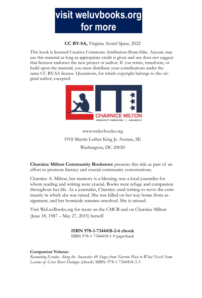

**CC BY-SA,** Virginia Avniel Spatz, 2022

This book is licensed Creative Commons Attribution-ShareAlike. Anyone may use this material as long as appropriate credit is given and use does not suggest that licensor endorses the new project or author. If you remix, transform, or build upon the material, you must distribute your contributions under the same CC BY-SA license. Quotations, for which copyright belongs to the original author, excepted.



## www.weluvbooks.org 1918 Martin Luther King Jr. Avenue, SE Washington, DC 20020

**Charnice Milton Community Bookstore** presents this title as part of an effort to promote literacy and crucial community conversations.

Charnice A. Milton, her memory is a blessing, was a local journalist for whom reading and writing were crucial. Books were refuge and companion throughout her life. As a journalist, Charnice used writing to serve the community in which she was raised. She was killed on her way home from assignment, and her homicide remains unsolved. She is missed.

Visit WeLuvBooks.org for more on the CMCB and on Charnice Milton (June 18, 1987 – May 27, 2015) herself.

**ISBN 978-1-7344418-2-6 ebook**

ISBN 978-1-7344418-1-9 paperback

#### **Companion Volume:**

*Recounting Exodus Along the Anacostia: 49 Stages from Narrow Place to What Next? Some Lessons of Cross River Dialogue* (ebook) ISBN: 978-1-7344418-3-3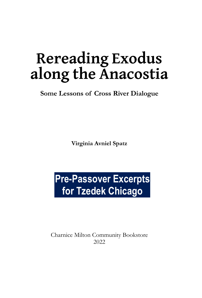# **Rereading Exodus along the Anacostia**

**Some Lessons of Cross River Dialogue**

**Virginia Avniel Spatz**

## **Pre-Passover Excerpts for Tzedek Chicago**

Charnice Milton Community Bookstore 2022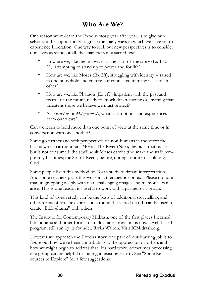## **Who Are We?**

One reason we re-learn the Exodus story, year after year, is to give ourselves another opportunity to grasp the many ways in which we have yet to experience Liberation. One way to seek out new perspectives is to consider ourselves as some, or all, the characters in a sacred text.

- How are we, like the midwives at the start of the story (Ex 1:15- 21), attempting to stand up to power and for life?
- How are we, like Moses (Ex 2ff), struggling with identity -- raised in one household and culture but connected in many ways to another?
- How are we, like Pharaoh (Ex 1ff), impatient with the past and fearful of the future, ready to knock down anyone or anything that threatens those we believe we must protect?
- As *Yisrael-ite* or *Mitzrayim-ite*, what assumptions and experiences form our views?

Can we learn to hold more than one point of view at the same time or in conversation with one another?

Some go further and seek perspectives of non-humans in the story: the basket which carries infant Moses; The River (Nile); the bush that burns but is not consumed; the staff adult Moses carries ;the snake the staff temporarily becomes; the Sea of Reeds, before, during, or after its splitting. God.

Some people liken this method of Torah study to dream interpretation. And some teachers place this work in a therapeutic context. Please do note that, in grappling deeply with text, challenging images and memories can arise. This is one reason it's useful to work with a partner or a group.

This kind of Torah study can be the basis of additional storytelling, and other forms of artistic expression, around the sacred text. It can be used to create "Bibliodrama" with others.

The Institute for Contemporary Midrash, one of the first places I learned bibliodrama and other forms of midrashic expression, is now a web-based program, still run by its founder, Rivka Walton. Visit ICMidrash.org.

However we approach the Exodus story, one part of our learning job is to figure out how we've been contributing to the oppression of others and how we might begin to address that. It's hard work. Sometimes processing in a group can be helpful or joining in existing efforts. See "Some Resources to Explore" for a few suggestions.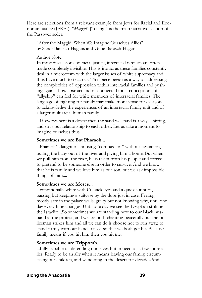Here are selections from a relevant example from Jews for Racial and Economic Justice (JFREJ). "*Maggid*" [Telling]" is the main narrative section of the Passover seder.

"After the Maggid: When We Imagine Ourselves Allies" by Sarah Barasch-Hagans and Graie Barasch-Hagans

Author Note:

In most discussions of racial justice, interracial families are often made completely invisible. This is ironic, as these families constantly deal in a microcosm with the larger issues of white supremacy and thus have much to teach us. This piece began as a way of addressing the complexities of oppression within interracial families and pushing against how abstract and disconnected most conceptions of "allyship" can feel for white members of interracial families. The language of fighting for family may make more sense for everyone to acknowledge the experiences of an interracial family unit and of a larger multiracial human family.

...If everywhere is a desert then the sand we stand is always shifting, and so is our relationship to each other. Let us take a moment to imagine ourselves thus...

#### **Sometimes we are Bat Pharaoh...**

...Pharaoh's daughter, choosing "compassion" without hesitation, pulling the baby out of the river and giving him a home. But when we pull him from the river, he is taken from his people and forced to pretend to be someone else in order to survive. And we know that he is family and we love him as our son, but we ask impossible things of him....

#### **Sometimes we are Moses...**

...conditionally white with Cossack eyes and a quick sunburn, passing but keeping a suitcase by the door just in case. Feeling mostly safe in the palace walls, guilty but not knowing why, until one day everything changes. Until one day we see the Egyptian striking the Israelite...So sometimes we are standing next to our Black husband at the protest, and we are both chanting peacefully but the policeman strikes him and all we can do is choose not to run away, to stand firmly with our hands raised so that we both get hit. Because family means if you hit him then you hit me.

#### **Sometimes we are Tzipporah...**

...fully capable of defending ourselves but in need of a few more allies. Ready to be an ally when it means leaving our family, circumcising our children, and wandering in the desert for decades.And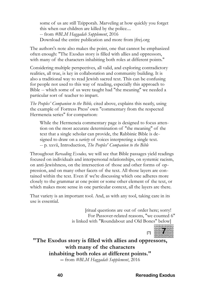some of us are still Tzipporah. Marveling at how quickly you forget this when our children are killed by the police.... -- from *#BLM Haggadah Supplement*, 2016 Download the entire publication and more from jfrej.org

The authors's note also makes the point, one that cannot be emphasized often enough: "The Exodus story is filled with allies and oppressors, with many of the characters inhabiting both roles at different points."

Considering multiple perspectives, all valid, and exploring contradictory realities, all true, is key in collaboration and community building. It is also a traditional way to read Jewish sacred text. This can be confusing for people not used to this way of reading, especially this approach to Bible -- which some of us were taught had "the meaning" we needed a particular sort of teacher to impart.

*The Peoples' Companion to the Bible,* cited above, explains this neatly, using the example of Fortress Press' own "commentary from the respected Hermeneia series" for comparison:

While the Hermeneia commentary page is designed to focus attention on the most accurate determination of "the meaning" of the text that a single scholar can provide, the Rabbinic Bible is designed to draw on a *variety* of voices interpreting a single text. -- p. xxvii, Introduction, *The Peoples' Companion to the Bible*

Throughout *Rereading Exodus,* we will see that Bible passages yield readings focused on individuals and interpersonal relationships, on systemic racism, on anti-Jewishness, on the intersection of those and other forms of oppression, and on many other facets of the text. All those layers are contained within the text. Even if we're discussing which one adheres more closely to the grammar at one point or some other element of the text, or which makes more sense in one particular context, all the layers are there.

That variety is an important tool. And, as with any tool, taking care in its use is essential.

> [ritual questions are out of order here; sorry! For Passover-related reasons, "we counted 6" is linked with "Roundabout and Old Bones" below]

**"The Exodus story is filled with allies and oppressors, with many of the characters inhabiting both roles at different points."**

**--** from *#BLM Haggadah Supplement*, 2016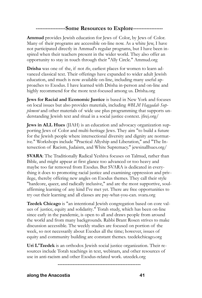## **------------------Some Resources to Explore------------------**

**Ammud** provides Jewish education for Jews of Color, by Jews of Color. Many of their programs are accessible on-line now. As a white Jew, I have not participated directly in Ammud's regular programs, but I have been inspired when their teachers present in the wider world. They also offer an opportunity to stay in touch through their "Ally Circle." Ammud.org

**Drisha** was one of the, if not *the*, earliest places for women to learn advanced classical text. Their offerings have expanded to wider adult Jewish education, and much is now available on-line, including many useful approaches to Exodus. I have learned with Drisha in-person and on-line and highly recommend for the more text-focused among us. Drisha.org

**Jews for Racial and Economic Justice** is based in New York and focuses on local issues but also provides materials, including *#BLM Haggadah Supplement* and other materials of wide use plus programming that supports understanding Jewish text and ritual in a social justice context. jfrej.org/

**Jews in ALL Hues** (JIAH) is an education and advocacy organization supporting Jews of Color and multi-heritage Jews. They aim "to build a future for the Jewish people where intersectional diversity and dignity are normative." Workshops include "Practical Allyship and Liberation," and "The Intersection of Racism, Judaism, and White Supremacy." jewsinallhues.org/

**SVARA**: The Traditionally Radical Yeshiva focuses on Talmud, rather than Bible, and might appear at first glance too advanced or too heavy and maybe too far removed from Exodus. But SVARA is dedicated in everything it does to promoting racial justice and examining oppression and privilege, thereby offering new angles on Exodus themes. They call their style "hardcore, queer, and radically inclusive," and are the most supportive, soulaffirming learning of any kind I've met yet. There are free opportunities to try out their learning and all classes are pay-what-you-can. svara.org

**Tzedek Chicago** is "an intentional Jewish congregation based on core values of justice, equity and solidarity." Torah study, which has been on-line since early in the pandemic, is open to all and draws people from around the world and from many backgrounds. Rabbi Brant Rosen strives to make discussion accessible. The weekly studies are focused on portion of the week, so not necessarily about Exodus all the time; however, issues of equity and community building are constant themes. tzedekchicago.org

**Uri L'Tzedek** is an orthodox Jewish social justice organization. Their resources include Torah teachings in text, webinars, and other resources of use in anti-racism and other Exodus-related work. utzedek.org

**--------------------------------------------------**

**along the Anacostia 41**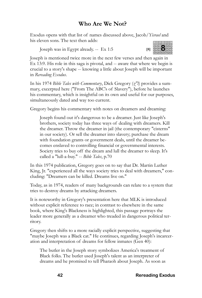## **Who Are We Not?**

Exodus opens with that list of names discussed above, Jacob/*Yisrael* and his eleven sons. The text then adds:

Joseph was in Egypt already. -- Ex 1:5 **[8]**



Joseph is mentioned twice more in the next few verses and then again in Ex 13:9. His role in this saga is pivotal, and -- aware that where we begin is crucial to a story's shape -- knowing a little about Joseph will be important in *Rereading Exodus*.

In his 1974 *Bible Tales with Commentary*, Dick Gregory (*z"l*) provides a summary, excerpted here ("From The ABC's of Slavery"), before he launches his commentary, which is insightful on its own and useful for our purposes, simultaneously dated and way too current.

Gregory begins his commentary with notes on dreamers and dreaming:

Joseph found out it's dangerous to be a dreamer. Just like Joseph's brothers, society today has three ways of dealing with dreamers. Kill the dreamer. Throw the dreamer in jail (the contemporary "cisterns" in our society). Or sell the dreamer into slavery; purchase the dream with foundation grants or government deals, until the dreamer becomes enslaved to controlling financial or governmental interests. Society tries to buy off the dream and lull the dreamer to sleep. It's called a "lull-a-buy." -- *Bible Tales*, p.70

In this 1974 publication, Gregory goes on to say that Dr. Martin Luther King, Jr. "experienced all the ways society tries to deal with dreamers," concluding: "Dreamers can be killed. Dreams live on."

Today, as in 1974, readers of many backgrounds can relate to a system that tries to destroy dreams by attacking dreamers.

It is noteworthy in Gregory's presentation here that MLK is introduced without explicit reference to race; in contrast to elsewhere in the same book, where King's Blackness is highlighted, this passage portrays the leader more generally as a dreamer who treaded in dangerous political territory.

Gregory then shifts to a more racially explicit perspective, suggesting that "maybe Joseph was a Black cat." He continues, regarding Joseph's incarceration and interpretation of dreams for fellow inmates (Gen 40):

The butler in the Joseph story symbolizes America's treatment of Black folks. The butler used Joseph's talent as an interpreter of dreams and he promised to tell Pharaoh about Joseph. As soon as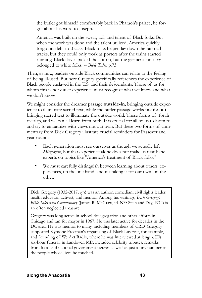the butler got himself comfortably back in Pharaoh's palace, he forgot about his word to Joseph.

America was built on the sweat, toil, and talent of Black folks. But when the work was done and the talent utilized, America quickly forgot its debt to Blacks. Black folks helped lay down the railroad tracks, but they could only work as porters after the trains started running. Black slaves picked the cotton, but the garment industry belonged to white folks. -- *Bible Tales,* p.73

Then, as now, readers outside Black communities can relate to the feeling of being ill-used. But here Gregory specifically references the experience of Black people enslaved in the U.S. and their descendants. Those of us for whom this is not direct experience must recognize what we know and what we don't know.

We might consider the dreamer passage **outside-in**, bringing outside experience to illuminate sacred text, while the butler passage works **inside-out**, bringing sacred text to illuminate the outside world. These forms of Torah overlap, and we can all learn from both. It is crucial for all of us to listen to and try to empathize with views not our own. But these two forms of commentary from Dick Gregory illustrate crucial reminders for Passover and year-round:

- Each generation must see ourselves as though we actually left *Mitzrayim*, but that experience alone does not make us first-hand experts on topics like "America's treatment of Black folks."
- We must carefully distinguish between learning about others' experiences, on the one hand, and mistaking it for our own, on the other.

Dick Gregory (1932-2017, *z"l*) was an author, comedian, civil rights leader, health educator, activist, and mentor. Among his writings, *Dick Gregory's Bible Tales with Commentary* (James R. McGraw, ed. NY: Stein and Day, 1974) is an often neglected treasure.

Gregory was long active in school desegregation and other efforts in Chicago and ran for mayor in 1967. He was later active for decades in the DC area. He was mentor to many, including members of CRD. Gregory supported Kymone Freeman's organizing of Black LuvFest, for example, and founding of We Act Radio, where he was interviewed at length. His six-hour funeral, in Landover, MD, included celebrity tributes, remarks from local and national government figures as well as just a tiny number of the people whose lives he touched.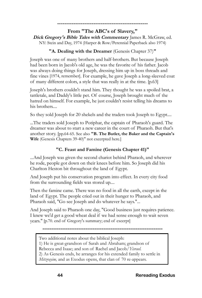## **--------------------------------------------------**

**From "The ABC's of Slavery," Dick Gregory's Bible Tales with Commentary** James R. McGraw, ed. NY: Stein and Day, 1974 (Harper & Row/Perennial Paperback also 1974)

## **"A. Dealing with the Dreamer** (Genesis Chapter 37)**"**

Joseph was one of many brothers and half-brothers. But because Joseph had been born in Jacob's old age, he was the favorite of his father. Jacob was always doing things for Joseph, dressing him up in boss threads and fine vines [1974, remember]. For example, he gave Joseph a long-sleeved coat of many different colors, a style that was really in at the time. [p.63]

Joseph's brothers couldn't stand him. They thought he was a spoiled brat, a tattletale, and Daddy's little pet. Of course, Joseph brought much of the hatred on himself. For example, he just couldn't resist telling his dreams to his brothers....

So they sold Joseph for 20 shekels and the traders took Joseph to Egypt....

...The traders sold Joseph to Potiphar, the captain of Pharaoh's guard. The dreamer was about to start a new career in the court of Pharaoh. But that's another story. [pp.64-65. See also **"B. The Butler, the Baker and the Captain's Wife** (Genesis Chapters 39-40)" not excerpted here.]

## **"C. Feast and Famine (Genesis Chapter 41)"**

...And Joseph was given the second chariot behind Pharaoh, and wherever he rode, people got down on their knees before him. So Joseph did his Charlton Heston bit throughout the land of Egypt.

And Joseph put his conservation program into effect. In every city food from the surrounding fields was stored up....

Then the famine came. There was no food in all the earth, except in the land of Egypt. The people cried out in their hunger to Pharaoh, and Pharaoh said, "Go see Joseph and do whatever he says."...

And Joseph said to Pharaoh one day, "Good business just requires patience. I knew we'd get a good wheat deal if we had sense enough to wait seven years." [p.70. end of Gregory's summary; end of excerpt]

**-------------------------------------------------------------------**

Two additional notes about the biblical Joseph:

1) He is great-grandson of Sarah and Abraham; grandson of

Rebecca and Isaac; and son of Rachel and Jacob/*Yisrael.*

2) As Genesis ends, he arranges for his extended family to settle in

*Mitzrayim*, and as Exodus opens, that clan of 70 re-appears.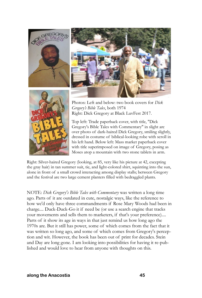





Photos: Left and below: two book covers for *Dick Gregory's Bible Tales*, both 1974 Right: Dick Gregory at Black LuvFest 2017.

Top left: Trade paperback cover, with title, "Dick Gregory's Bible Tales with Commentary" in slight arc over photo of dark-haired Dick Gregory, smiling slightly, dressed in costume of biblical-looking robe with scroll in his left hand. Below left: Mass market paperback cover with title superimposed on image of Gregory, posing as Moses atop a mountain with two stone tablets in arm.

Right: Silver-haired Gregory (looking, at 85, very like his picture at 42, excepting the gray hair) in tan summer suit, tie, and light-colored shirt, squinting into the sun, alone in front of a small crowd interacting among display stalls; between Gregory and the festival are two large cement planters filled with bedraggled plants.

NOTE: *Dick Gregory's Bible Tales with Commentary* was written a long time ago. Parts of it are outdated in cute, nostalgic ways, like the reference to how we'd only have three commandments if Rose Mary Woods had been in charge.... Duck-Duck-Go it if need be (or use a search engine that tracks your movements and sells them to marketers, if that's your preference).... Parts of it show its age in ways in that just remind us how long ago the 1970s are. But it still has power, some of which comes from the fact that it was written so long ago, and some of which comes from Gregory's perception and wit. However, the book has been out of print for decades. Stein and Day are long gone. I am looking into possibilities for having it re-published and would love to hear from anyone with thoughts on this.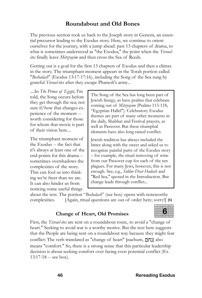## **Roundabout and Old Bones**

The previous section took us back to the Joseph story in Genesis, an essential precursor leading to the Exodus story. Here, we continue to orient ourselves for the journey, with a jump ahead: past 13 chapters of drama, to what is sometimes understood as "the Exodus," the point when the *Yisraelites* finally leave *Mitzrayim* and then cross the Sea of Reeds.

Getting out is a goal for the first 13 chapters of Exodus and then a climax in the story. The triumphant moment appears in the Torah portion called "*Beshalach*" (Exodus 13:17-17:16), including the Song of the Sea sung by grateful *Yisrael-ites* after they escape Pharaoh's army*...*

*....*In *The Prince of Egypt*, I'm told, the Song occurs before they get through the sea; not sure if/how that changes experience of the moment - worth considering for those for whom that movie is part of their vision here....

The triumphant moment of the Exodus -- the fact that it's always at least one of the end-points for this drama - sometimes overshadows the complexities of the story. This can fool us into thinking we're freer than we are. It can also hinder us from noticing some useful things

The Song of the Sea has long been part of Jewish liturgy, as have psalms that celebrate coming out of *Mitzrayim* (Psalms 113-118, "Egyptian Hallel"). Celebratory Exodus themes are part of many other moments in the daily, Shabbat and Festival prayers, as well as Passover. But these triumphal elements have also long raised conflict.

Jewish tradition has always included the bitter along with the sweet and asked us to recognize painful parts of the Exodus story – for example, the ritual removing of wine from our Passover cup for each of the ten plagues. For many Jews, however, this is not enough. See, e.g., *Siddur Dvar Hadash* and "Red Sea," quoted in the Introduction. But change leads through conflict...

about the text. The portion "*Beshalach*" (see box) opens with noteworthy complexities. [Again, ritual questions are out of order here; sorry!] **[6]**

## **Change of Heart, Old Promises**

First, the *Yisrael-ites* are sent on a roundabout route, to avoid a "change of heart." Seeking to avoid war is a worthy motive. But the text here suggests that the People are being sent on a roundabout way because they might fear conflict: The verb translated as "change of heart" [nachum, כחם] also means "comfort." So, there is a strong sense that this particular leadership decision is about seeking comfort over facing even potential conflict (Ex 13:17-18 -- see box).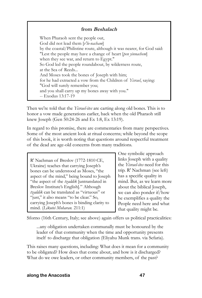## **from Beshalach**

When Pharaoh sent the people out, God did not lead them [*v'lo-nacham*] by the coastal/Philistine route, although it was nearer, for God said: "Lest the people may have a change of heart [*pen yinnachem*] when they see war, and return to Egypt." So God led the people roundabout, by wilderness route, at the Sea of Reeds... And Moses took the bones of Joseph with him; for he had extracted a vow from the Children of *Yisrael*, saying: "God will surely remember you; and you shall carry up my bones away with you." -- Exodus 13:17-19

Then we're told that the *Yisrael-ites* are carting along old bones. This is to honor a vow made generations earlier, back when the old Pharaoh still knew Joseph (Gen 50:24-26 and Ex 1:8, Ex 13:19).

In regard to this promise, there are commentaries from many perspectives. Some of the most ancient look at ritual concerns; while beyond the scope of this book, it is worth noting that questions around respectful treatment of the dead are age-old concerns from many traditions.

R' Nachman of Breslov (1772-1810 CE, Ukraine) teaches that carrying Joseph's bones can be understood as Moses, "the aspect of the mind," being bound to Joseph "the aspect of the *tzaddik* [untranslated in Breslov Institute's English]*.*" Although *tzaddik* can be translated as "virtuous" or "just," it also means "to be clear." So, carrying Joseph's bones is binding clarity to mind. (*Likutei Moharan.* 211:1)

One symbolic approach links Joseph with a quality the *Yisrael-ites* need for this trip. R' Nachman (see left) has a specific quality in mind. But, as we learn more about the biblical Joseph, we can also ponder if/how he exemplifies a quality the People need here and what that quality might be.

Sforno (16th Century, Italy; see above) again offers us political practicalities:

...any obligation undertaken communally must be honoured by the leader of that community when the time and opportunity presents itself to discharge that obligation (Eliyahu Munk trans. via Sefaria).

This raises many questions, including: What does it mean for a community to be obligated? How does that come about, and how is it discharged? What do we owe leaders, or other community members, of the past?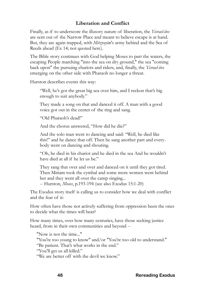## **Liberation and Conflict**

Finally, as if to underscore the illusory nature of liberation, the *Yisrael-ites*  are sent out of the Narrow Place and meant to believe escape is at hand. But, they are again trapped, with *Mitzrayim*'s army behind and the Sea of Reeds ahead (Ex 14; not quoted here).

The Bible story continues with God helping Moses to part the waters, the escaping People marching "into the sea on dry ground," the sea "coming back upon" the pursuing chariots and riders, and, finally, the *Yisrael-ites*  emerging on the other side with Pharaoh no longer a threat.

Hurston describes events this way:

"Well, he's got the great big sea over him, and I reckon that's big enough to suit anybody."

They made a song on that and danced it off. A man with a good voice got out in the center of the ring and sang.

"Old Pharaoh's dead!"

And the chorus answered, "How did he die?"

And the solo man went to dancing and said: "Well, he died like this!" and he dance that off. Then he sang another part and everybody went on dancing and shouting.

"Oh, he died in his chariot and he died in the sea And he wouldn't have died at all if he let us be."

They sang that over and over and danced on it until they got tired. Then Miriam took the cymbal and some more women went behind her and they went all over the camp singing...

-- Hurston, *Moses*, p.193-194 (see also Exodus 15:1-20)

The Exodus story itself is calling us to consider how we deal with conflict and the fear of it:

How often have those not actively suffering from oppression been the ones to decide what the times will bear?

How many times, over how many centuries, have those seeking justice heard, from in their own communities and beyond --

"Now is not the time..." "You're too young to know" and/or "You're too old to understand." "Be patient. That's what works in the end." "You'll get us all killed." "We are better off with the devil we know."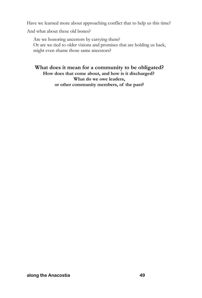Have we learned more about approaching conflict that to help us this time?

And what about these old bones?

Are we honoring ancestors by carrying them? Or are we tied to older visions and promises that are holding us back, might even shame those same ancestors?

**What does it mean for a community to be obligated? How does that come about, and how is it discharged? What do we owe leaders, or other community members, of the past?**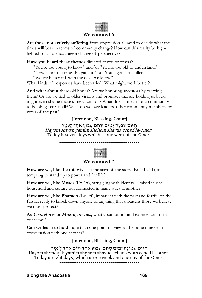#### **We counted 6.**

**Are those not actively suffering** from oppression allowed to decide what the times will bear in terms of community change? How can this reality be highlighted so as to encourage a change of perspective?

**Have you heard these themes** directed at you or others?

"You're too young to know" and/or "You're too old to understand." "Now is not the time...Be patient." or "You'll get us all killed."

"We are better off with the devil we know."

What kinds of responses have been tried? What might work better?

**And what about** these old bones? Are we honoring ancestors by carrying them? Or are we tied to older visions and promises that are holding us back, might even shame those same ancestors? What does it mean for a community to be obligated? at all? What do we owe leaders, other community members, or vows of the past?

## **[Intention, Blessing, Count]**

הַ יֹּוֹם שְׁבָעָה יַמִים שֱהֶם שֲבוּעֲ אֶחֲד לָעֹמֶר Hayom shivah yamim shehem shavua echad la-omer. Today is seven days which is one week of the Omer.

**-----------------------------------------**

## **We counted 7.**

**How are we, like the midwives** at the start of the story (Ex 1:15-21), attempting to stand up to power and for life?

**How are we, like Moses** (Ex 2ff), struggling with identity -- raised in one household and culture but connected in many ways to another?

**How are we, like Pharaoh** (Ex 1ff), impatient with the past and fearful of the future, ready to knock down anyone or anything that threatens those we believe we must protect?

**As Yisrael-ites or Mitzrayim-ites,** what assumptions and experiences form our views?

**Can we learn to hold** more than one point of view at the same time or in conversation with one another?

#### **[Intention, Blessing, Count]**

הַיּוֹם שְׁמוֹנָה יָמִים שֶׁהֵם שָׁבוּעַ אֶחָד וְיוֹם אֶחֶד לָעֹמֶר<br>Hayom sh'monah yamim shehem shavua echad v'yom echad la-omer. Today is eight days, which is one week and one day of the Omer. **-----------------------------------------**

**along the Anacostia** 169